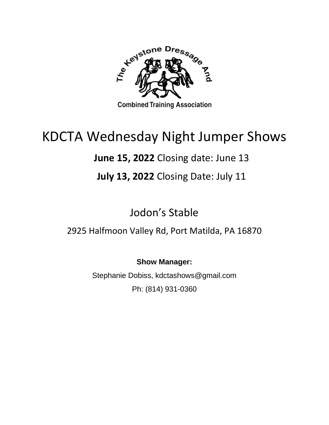

# KDCTA Wednesday Night Jumper Shows

# **June 15, 2022** Closing date: June 13

## **July 13, 2022** Closing Date: July 11

Jodon's Stable

2925 Halfmoon Valley Rd, Port Matilda, PA 16870

**Show Manager:**

Stephanie Dobiss, kdctashows@gmail.com Ph: (814) 931-0360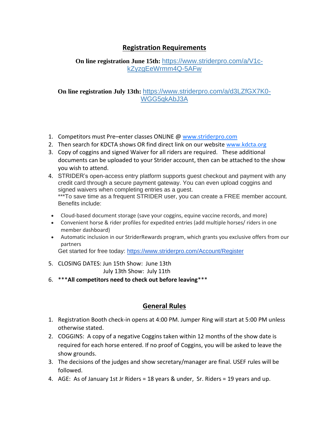### **Registration Requirements**

#### **On line registration June 15th:** [https://www.striderpro.com/a/V1c](https://www.striderpro.com/a/V1c-kZyzgEeWrmm4Q-5AFw)[kZyzgEeWrmm4Q-5AFw](https://www.striderpro.com/a/V1c-kZyzgEeWrmm4Q-5AFw)

**On line registration July 13th:** [https://www.striderpro.com/a/d3LZfGX7K0-](https://www.striderpro.com/a/d3LZfGX7K0-WGG5qkAbJ3A) [WGG5qkAbJ3A](https://www.striderpro.com/a/d3LZfGX7K0-WGG5qkAbJ3A)

- 1. Competitors must Pre-enter classes ONLINE @ [www.striderpro.com](http://www.striderpro.com/)
- 2. Then search for KDCTA shows OR find direct link on our website [www.kdcta.org](http://www.kdcta.org/)
- 3. Copy of coggins and signed Waiver for all riders are required. These additional documents can be uploaded to your Strider account, then can be attached to the show you wish to attend.
- 4. STRIDER's open-access entry platform supports guest checkout and payment with any credit card through a secure payment gateway. You can even upload coggins and signed waivers when completing entries as a guest. \*\*\*To save time as a frequent STRIDER user, you can create a FREE member account. Benefits include:
- Cloud-based document storage (save your coggins, equine vaccine records, and more)
- Convenient horse & rider profiles for expedited entries (add multiple horses/ riders in one member dashboard)
- Automatic inclusion in our StriderRewards program, which grants you exclusive offers from our partners

Get started for free today: <https://www.striderpro.com/Account/Register>

- 5. CLOSING DATES: Jun 15th Show: June 13th July 13th Show: July 11th
- 6. \*\*\***All competitors need to check out before leaving**\*\*\*

#### **General Rules**

- 1. Registration Booth check-in opens at 4:00 PM. Jumper Ring will start at 5:00 PM unless otherwise stated.
- 2. COGGINS: A copy of a negative Coggins taken within 12 months of the show date is required for each horse entered. If no proof of Coggins, you will be asked to leave the show grounds.
- 3. The decisions of the judges and show secretary/manager are final. USEF rules will be followed.
- 4. AGE: As of January 1st Jr Riders = 18 years & under, Sr. Riders = 19 years and up.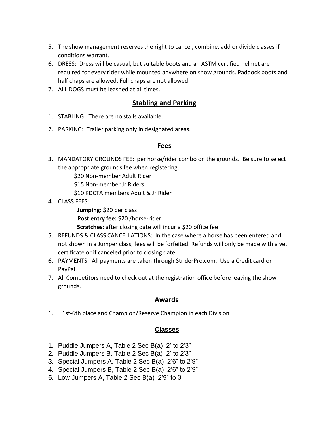- 5. The show management reserves the right to cancel, combine, add or divide classes if conditions warrant.
- 6. DRESS: Dress will be casual, but suitable boots and an ASTM certified helmet are required for every rider while mounted anywhere on show grounds. Paddock boots and half chaps are allowed. Full chaps are not allowed.
- 7. ALL DOGS must be leashed at all times.

#### **Stabling and Parking**

- 1. STABLING: There are no stalls available.
- 2. PARKING: Trailer parking only in designated areas.

#### **Fees**

- 3. MANDATORY GROUNDS FEE: per horse/rider combo on the grounds. Be sure to select the appropriate grounds fee when registering.
	- \$20 Non-member Adult Rider
	- \$15 Non-member Jr Riders
	- \$10 KDCTA members Adult & Jr Rider
- 4. CLASS FEES:

**Jumping:** \$20 per class

- **Post entry fee:** \$20 /horse-rider
- **Scratches**: after closing date will incur a \$20 office fee
- 5. REFUNDS & CLASS CANCELLATIONS: In the case where a horse has been entered and not shown in a Jumper class, fees will be forfeited. Refunds will only be made with a vet certificate or if canceled prior to closing date.
- 6. PAYMENTS: All payments are taken through StriderPro.com. Use a Credit card or PayPal.
- 7. All Competitors need to check out at the registration office before leaving the show grounds.

### **Awards**

1. 1st-6th place and Champion/Reserve Champion in each Division

#### **Classes**

- 1. Puddle Jumpers A, Table 2 Sec B(a) 2' to 2'3"
- 2. Puddle Jumpers B, Table 2 Sec B(a) 2' to 2'3"
- 3. Special Jumpers A, Table 2 Sec B(a) 2'6" to 2'9"
- 4. Special Jumpers B, Table 2 Sec B(a) 2'6" to 2'9"
- 5. Low Jumpers A, Table 2 Sec B(a) 2'9" to 3'